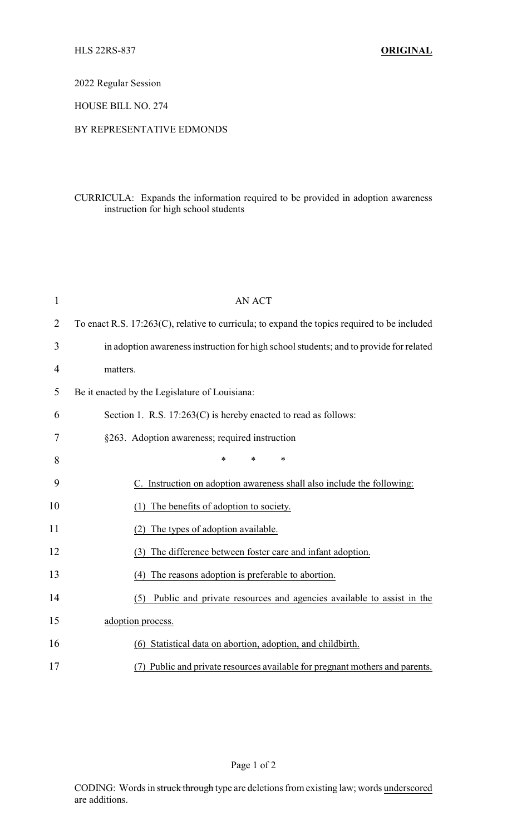2022 Regular Session

HOUSE BILL NO. 274

## BY REPRESENTATIVE EDMONDS

## CURRICULA: Expands the information required to be provided in adoption awareness instruction for high school students

| $\mathbf{1}$   | <b>AN ACT</b>                                                                                |  |
|----------------|----------------------------------------------------------------------------------------------|--|
| $\overline{2}$ | To enact R.S. 17:263(C), relative to curricula; to expand the topics required to be included |  |
| 3              | in adoption awareness instruction for high school students; and to provide for related       |  |
| 4              | matters.                                                                                     |  |
| 5              | Be it enacted by the Legislature of Louisiana:                                               |  |
| 6              | Section 1. R.S. $17:263(C)$ is hereby enacted to read as follows:                            |  |
| 7              | §263. Adoption awareness; required instruction                                               |  |
| 8              | $\ast$<br>$\ast$<br>*                                                                        |  |
| 9              | C. Instruction on adoption awareness shall also include the following:                       |  |
| 10             | The benefits of adoption to society.                                                         |  |
| 11             | The types of adoption available.<br>(2)                                                      |  |
| 12             | The difference between foster care and infant adoption.<br>(3)                               |  |
| 13             | (4) The reasons adoption is preferable to abortion.                                          |  |
| 14             | Public and private resources and agencies available to assist in the<br>(5)                  |  |
| 15             | adoption process.                                                                            |  |
| 16             | (6) Statistical data on abortion, adoption, and childbirth.                                  |  |
| 17             | (7) Public and private resources available for pregnant mothers and parents.                 |  |